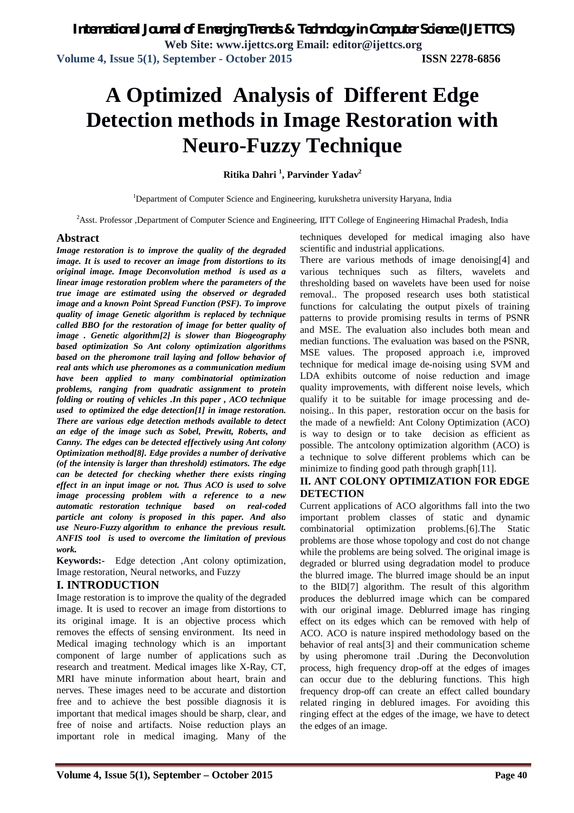# **A Optimized Analysis of Different Edge Detection methods in Image Restoration with Neuro-Fuzzy Technique**

**Ritika Dahri <sup>1</sup> , Parvinder Yadav<sup>2</sup>**

<sup>1</sup>Department of Computer Science and Engineering, kurukshetra university Haryana, India

<sup>2</sup>Asst. Professor ,Department of Computer Science and Engineering, IITT College of Engineering Himachal Pradesh, India

#### **Abstract**

*Image restoration is to improve the quality of the degraded image. It is used to recover an image from distortions to its original image. Image Deconvolution method is used as a linear image restoration problem where the parameters of the true image are estimated using the observed or degraded image and a known Point Spread Function (PSF). To improve quality of image Genetic algorithm is replaced by technique called BBO for the restoration of image for better quality of image . Genetic algorithm[2] is slower than Biogeography based optimization So Ant colony optimization algorithms based on the pheromone trail laying and follow behavior of real ants which use pheromones as a communication medium have been applied to many combinatorial optimization problems, ranging from quadratic assignment to protein folding or routing of vehicles .In this paper , ACO technique used to optimized the edge detection[1] in image restoration. There are various edge detection methods available to detect an edge of the image such as Sobel, Prewitt, Roberts, and Canny. The edges can be detected effectively using Ant colony Optimization method[8]. Edge provides a number of derivative (of the intensity is larger than threshold) estimators. The edge can be detected for checking whether there exists ringing effect in an input image or not. Thus ACO is used to solve image processing problem with a reference to a new automatic restoration technique based on real-coded particle ant colony is proposed in this paper. And also use Neuro-Fuzzy algorithm to enhance the previous result. ANFIS tool is used to overcome the limitation of previous work.*

**Keywords:-** Edge detection ,Ant colony optimization, Image restoration, Neural networks, and Fuzzy

## **I. INTRODUCTION**

Image restoration is to improve the quality of the degraded image. It is used to recover an image from distortions to its original image. It is an objective process which removes the effects of sensing environment. Its need in Medical imaging technology which is an important component of large number of applications such as research and treatment. Medical images like X-Ray, CT, MRI have minute information about heart, brain and nerves. These images need to be accurate and distortion free and to achieve the best possible diagnosis it is important that medical images should be sharp, clear, and free of noise and artifacts. Noise reduction plays an important role in medical imaging. Many of the techniques developed for medical imaging also have scientific and industrial applications.

There are various methods of image denoising[4] and various techniques such as filters, wavelets and thresholding based on wavelets have been used for noise removal.. The proposed research uses both statistical functions for calculating the output pixels of training patterns to provide promising results in terms of PSNR and MSE. The evaluation also includes both mean and median functions. The evaluation was based on the PSNR, MSE values. The proposed approach i.e, improved technique for medical image de-noising using SVM and LDA exhibits outcome of noise reduction and image quality improvements, with different noise levels, which qualify it to be suitable for image processing and denoising.. In this paper, restoration occur on the basis for the made of a newfield: Ant Colony Optimization (ACO) is way to design or to take decision as efficient as possible. The antcolony optimization algorithm (ACO) is a technique to solve different problems which can be minimize to finding good path through graph[11].

## **II. ANT COLONY OPTIMIZATION FOR EDGE DETECTION**

Current applications of ACO algorithms fall into the two important problem classes of static and dynamic combinatorial optimization problems.[6].The Static problems are those whose topology and cost do not change while the problems are being solved. The original image is degraded or blurred using degradation model to produce the blurred image. The blurred image should be an input to the BID[7] algorithm. The result of this algorithm produces the deblurred image which can be compared with our original image. Deblurred image has ringing effect on its edges which can be removed with help of ACO. ACO is nature inspired methodology based on the behavior of real ants[3] and their communication scheme by using pheromone trail .During the Deconvolution process, high frequency drop-off at the edges of images can occur due to the debluring functions. This high frequency drop-off can create an effect called boundary related ringing in deblured images. For avoiding this ringing effect at the edges of the image, we have to detect the edges of an image.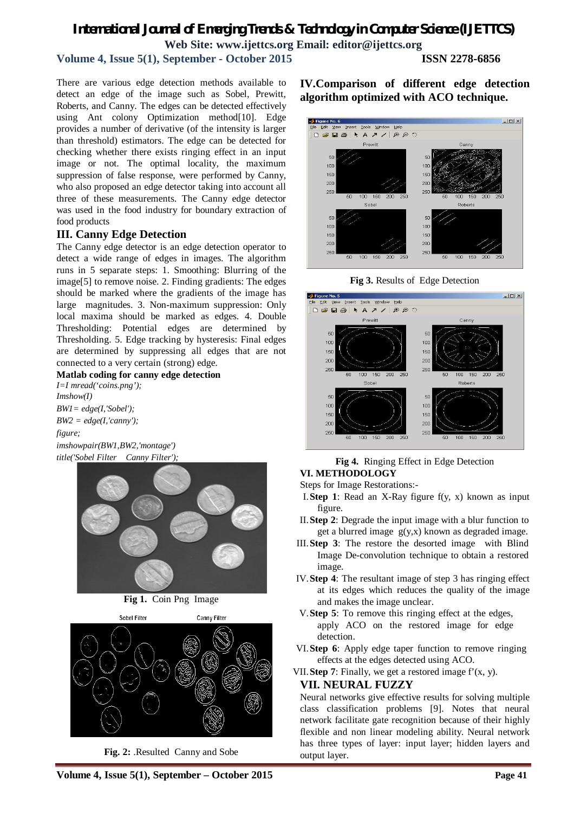# *International Journal of Emerging Trends & Technology in Computer Science (IJETTCS)* **Web Site: www.ijettcs.org Email: editor@ijettcs.org**

## **Volume 4, Issue 5(1), September - October 2015 ISSN 2278-6856**

There are various edge detection methods available to detect an edge of the image such as Sobel, Prewitt, Roberts, and Canny. The edges can be detected effectively using Ant colony Optimization method[10]. Edge provides a number of derivative (of the intensity is larger than threshold) estimators. The edge can be detected for checking whether there exists ringing effect in an input image or not. The optimal locality, the maximum suppression of false response, were performed by Canny, who also proposed an edge detector taking into account all three of these measurements. The Canny edge detector was used in the food industry for boundary extraction of food products

#### **III. Canny Edge Detection**

The Canny edge detector is an edge detection operator to detect a wide range of edges in images. The algorithm runs in 5 separate steps: 1. Smoothing: Blurring of the image[5] to remove noise. 2. Finding gradients: The edges should be marked where the gradients of the image has large magnitudes. 3. Non-maximum suppression: Only local maxima should be marked as edges. 4. Double Thresholding: Potential edges are determined by Thresholding. 5. Edge tracking by hysteresis: Final edges are determined by suppressing all edges that are not connected to a very certain (strong) edge.

#### **Matlab coding for canny edge detection**

*I=I mread('coins.png'); Imshow(I) BW1= edge(I,'Sobel'); BW2 = edge(I,'canny'); figure; imshowpair(BW1,BW2,'montage') title('Sobel Filter Canny Filter');*



**Fig 1.** Coin Png Image



**Fig. 2:** .Resulted Canny and Sobe

## **IV.Comparison of different edge detection algorithm optimized with ACO technique.**







#### **Fig 4.** Ringing Effect in Edge Detection **VI. METHODOLOGY**

Steps for Image Restorations:-

- I.**Step 1**: Read an X-Ray figure f(y, x) known as input figure.
- II.**Step 2**: Degrade the input image with a blur function to get a blurred image g(y,x) known as degraded image.
- III.**Step 3**: The restore the desorted image with Blind Image De-convolution technique to obtain a restored image.
- IV.**Step 4**: The resultant image of step 3 has ringing effect at its edges which reduces the quality of the image and makes the image unclear.
- V.**Step 5**: To remove this ringing effect at the edges, apply ACO on the restored image for edge detection.
- VI.**Step 6**: Apply edge taper function to remove ringing effects at the edges detected using ACO.
- VII. **Step 7**: Finally, we get a restored image  $f'(x, y)$ .

#### **VII. NEURAL FUZZY**

Neural networks give effective results for solving multiple class classification problems [9]. Notes that neural network facilitate gate recognition because of their highly flexible and non linear modeling ability. Neural network has three types of layer: input layer; hidden layers and output layer.

**Volume 4, Issue 5(1), September – October 2015 Page 41**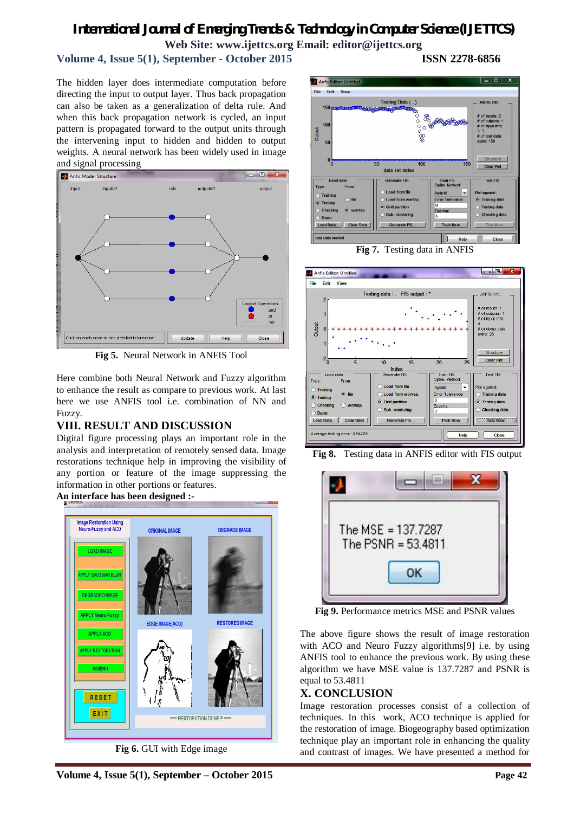## *International Journal of Emerging Trends & Technology in Computer Science (IJETTCS)* **Web Site: www.ijettcs.org Email: editor@ijettcs.org**

## **Volume 4, Issue 5(1), September - October 2015 ISSN 2278-6856**

The hidden layer does intermediate computation before directing the input to output layer. Thus back propagation can also be taken as a generalization of delta rule. And when this back propagation network is cycled, an input pattern is propagated forward to the output units through the intervening input to hidden and hidden to output weights. A neural network has been widely used in image and signal processing



**Fig 5.** Neural Network in ANFIS Tool

Here combine both Neural Network and Fuzzy algorithm to enhance the result as compare to previous work. At last here we use ANFIS tool i.e. combination of NN and Fuzzy.

## **VIII. RESULT AND DISCUSSION**

Digital figure processing plays an important role in the analysis and interpretation of remotely sensed data. Image restorations technique help in improving the visibility of any portion or feature of the image suppressing the information in other portions or features.



**Fig 6.** GUI with Edge image





**Fig 8.** Testing data in ANFIS editor with FIS output



**Fig 9.** Performance metrics MSE and PSNR values

The above figure shows the result of image restoration with ACO and Neuro Fuzzy algorithms[9] i.e. by using ANFIS tool to enhance the previous work. By using these algorithm we have MSE value is 137.7287 and PSNR is equal to 53.4811

#### **X. CONCLUSION**

Image restoration processes consist of a collection of techniques. In this work, ACO technique is applied for the restoration of image. Biogeography based optimization technique play an important role in enhancing the quality and contrast of images. We have presented a method for